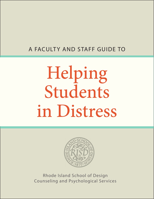# A FACULTY AND STAFF GUIDE TO

# Helping Students in Distress



Rhode Island School of Design Counseling and Psychological Services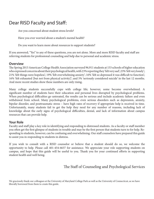## Dear RISD Faculty and Staff:

Are you concerned about student stress levels?

Have you ever worried about a student's mental health?

Do you want to learn more about resources to support students?

If you answered, "Yes" to any of these questions, you are not alone. More and more RISD faculty and staff are referring students for professional counseling and help due to personal and academic stress.

#### **Overview**

The Spring 2013 American College Health Association surveyed 96,911 students at 153 schools of higher education who expressed concerns about their psychological health, with 23% reporting they 'felt very sad'; 23% 'felt very lonely'; 21% 'felt things were hopeless'; 19% 'felt overwhelming anxiety'; 16% 'felt so depressed it was difficult to function'; 16% 'felt exhausted [but not from physical activity]'; and 5% 'seriously considered suicide' in the last 12 months. And more recent studies show these numbers are only rising.

Many college students successfully cope with college life; however, some become overwhelmed. A significant number of students have their education and personal lives disrupted by psychological problems. When psychological difficulties go untreated, the results can be serious and include academic failure and even withdrawal from school. Many psychological problems, even serious disorders such as depression, anxiety, bipolar disorder, and posttraumatic stress – have high rates of recovery if appropriate help is received in time. Unfortunately, many students fail to get the help they need for any number of reasons, including lack of knowledge about the early signs of psychological difficulties, denial, and lack of information about campus resources that can provide help.

#### **Your Role**

Faculty and staff play a key role in identifying and responding to distressed students. As a faculty or staff member you often get the first glimpse of students in trouble and may be the first person that students turn to for help. Responding to students, however, can be confusing and overwhelming. Our staff counselors have prepared this guide to assist you in responding to students in distress.

If you wish to consult with a RISD counselor or believe that a student should do so, we welcome the opportunity to help. Please call 401-454-6637 for assistance. We appreciate your role supporting students on campus, and hope that this guide will be useful to you. Thank you for your continued efforts in supporting student health and well being.

### The Staff of Counseling and Psychological Services

We graciously thank our colleagues at the University of Maryland College Park as well as the University of Connecticut, as we have liberally borrowed from them to create this guide.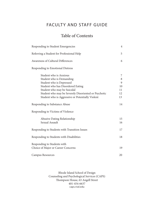## FACULTY AND STAFF GUIDE

## Table of Contents

| Responding to Student Emergencies                    | $\overline{4}$ |
|------------------------------------------------------|----------------|
| Referring a Student for Professional Help            | 5              |
| Awareness of Cultural Differences                    | 6              |
| <b>Responding to Emotional Distress</b>              |                |
| Student who is Anxious<br>Student who is Demanding   | 7<br>8         |
| Student who is Depressed                             | 9              |
| Student who has Disordered Eating                    | 10             |
| Student who may be Suicidal                          | 11             |
| Student who may be Severely Disoriented or Psychotic | 12             |
| Student who is Aggressive or Potentially Violent     | 13             |
| Responding to Substance Abuse                        | 14             |
| Responding to Victims of Violence                    |                |
| <b>Abusive Dating Relationship</b>                   | 15             |
| Sexual Assault                                       | 16             |
| Responding to Students with Transition Issues        | 17             |
| Responding to Students with Disabilities             | 18             |
| Responding to Students with                          |                |
| Choice of Major or Career Concerns                   | 19             |
| <b>Campus Resources</b>                              | 20             |

Rhode Island School of Design Counseling and Psychological Services (CAPS) Thompson House, 63 Angell Street 401-454-6637 caps.risd.edu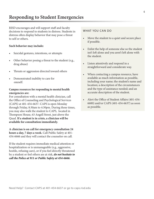## **Responding to Student Emergencies**

RISD encourages and will support staff and faculty decisions to respond to students in distress. Students in distress often display behavior that may pose a threat to self or others.

#### **Such behavior may include:**

- Suicidal gestures, intentions, or attempts
- Other behavior posing a threat to the student (e.g., drug abuse)
- Threats or aggression directed toward others
- Demonstrated inability to care for oneself.

#### **Campus resources for responding to mental health emergencies are:**

For consultation with a mental health clinician, call the Office of Counseling and Psychological Services (CAPS) at 401-454-6637. CAPS is open Monday through Friday, 8:30am to 4:30pm. During these times, you may also walk the student to CAPS, located in Thompson House, 63 Angell Street, just above the Quad. **If a student is in crisis, a clinician will be available for consultation immediately.**

**A clinician is on call for emergency consultation 24 hours a day, 7 days a week.** Call Public Safety at 401- 454-6666 and they will contact the counselor on call.

If the student requires immediate medical attention or hospitalization or is unmanageable (e.g., aggressive, hostile, refusing care), or if you feel directly threatened by a student or feel others are at risk, *do not hesitate to call the Police at 911 or Public Safety at 454-6666.*

#### WHAT YOU CAN DO

- Move the student to a quiet and secure place if possible.
- Enlist the help of someone else so the student isn't left alone and you aren't left alone with the student.
- Listen attentively and respond in a straightforward and considerate way.
- When contacting a campus resource, have available as much information as possible, including your name; the student's name and location; a description of the circumstances and the type of assistance needed; and an accurate description of the student.
- Alert the Office of Student Affairs (401-454- 6600) and/or CAPS (401-454-6637) as soon as possible.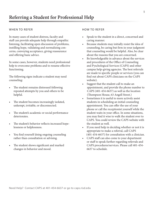#### WHEN TO REFER

In many cases of student distress, faculty and staff can provide adequate help through empathic listening, facilitating open discussion of problems, instilling hope, validating and normalizing concerns, conveying acceptance, giving reassurance and offering basic advice.

In some cases, however, students need professional help to overcome problems and to resume effective functioning.

The following signs indicate a student may need counseling:

- The student remains distressed following repeated attempts by you and others to be helpful.
- The student becomes increasingly isolated, unkempt, irritable, or disconnected.
- The student's academic or social performance deteriorates.
- The student's behavior reflects increased hopelessness or helplessness.
- You find yourself doing ongoing counseling rather than consultation or advising.
- The student shows significant and marked changes in behavior and mood.

#### HOW TO REFER

- Speak to the student in a direct, concerned and caring manner.
- Because students may initially resist the idea of counseling, be caring but firm in your judgment that counseling would be helpful. Also, be clear about the reasons that you are concerned.
- Be knowledgeable in advance about the services and procedures of the Office of Counseling and Pyschological Services (CAPS) and other campus help-giving agencies. The best referrals are made to specific people or services (you can find out about CAPS clinicians on the CAPS website).
- Suggest that the student call to make an appointment, and provide the phone number to CAPS (401-454-6637) as well as the location (Thompson House, 63 Angell Street.)
- Sometimes it is useful to more actively assist students in scheduling an initial counseling appointment. You can offer the use of your phone or call the receptionist yourself while the student waits in your office. In some situations, you may find it wise to walk the student over to CAPS. You could review the CAPS website with the student as well.
- If you need help in deciding whether or not it is appropriate to make a referral, call CAPS (401-454-6637) for consultation with a clinician.
- CAPS staff can also come to your department or staff to speak further regarding referrals and CAPS procedures/services. Please call 401-454- 6637 to schedule.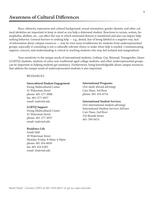Race, ethnicity, expression and cultural background, sexual orientation, gender identity, and other cultural identities are important to keep in mind as you help a distressed student. Reactions to racism, sexism, homophobia, abelism, etc., can affect the way in which emotional distress is manifested and also can impact helpseeking behavior. General barriers to seeking help — e.g., denial, fear of being labeled in a negative way, lack of information about campus resources — may be even more troublesome for students from underrepresented groups, especially if counseling is not a culturally relevant choice to make when help is needed. Communicating support, concern, and understanding is critical in reaching students who may feel isolated and marginalized.

Your sensitivity to the unique needs of international students, Lesbian, Gay, Bisexual, Transgender, Queer (LGBTQ) students, students of color, non-traditional-aged college students, and other underrepresented groups can be important in helping students get assistance. Furthermore, being knowledgeable about campus resources that address the unique needs of underrepresented students is also important.

RESOURCES:

#### **Intercultural Student Engagement**

Ewing Multicultural Center 41 Waterman Street phone: 401-277-4908 fax: 401-277-4937 email: ise@risd.edu

#### **LGBTQ Support**

Ewing Multicultural Center 41 Waterman Street phone: 401-277-4957 email: ise@risd.edu

#### **Residence Life**

South Hall 30 Waterman Street Monday-Friday, 8:30am-4:30pm phone: 401 454-6650 fax: 401 454-6382 email: rlo@risd.edu

#### **International Programs**

(For study abroad advising) Carr Haus, 3rd floor phone: 401-454-6754

#### **International Student Services**

(For international student advising) International Student Services Advisor Carr Haus, 2nd floor 210 Benefit Street 401-709-8474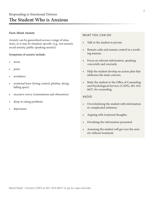#### **Facts About Anxiety**

Anxiety can be generalized across a range of situations, or it may be situation-specific (e.g., test anxiety, social anxiety, public speaking anxiety).

#### **Symptoms of anxiety include:**

- **stress**
- panic
- avoidance
- irrational fears (losing control, phobias, dying, falling apart)
- excessive worry (ruminations and obsessions)
- sleep or eating problems
- depression

#### WHAT YOU CAN DO

- Talk to the student in private.
- Remain calm and assume control in a soothing manner.
- Focus on relevant information, speaking concretely and concisely.
- Help the student develop an action plan that addresses the main concern.
- Refer the student to the Office of Counseling and Psychological Services (CAPS), 401-454- 6637, for counseling.

- Overwhelming the student with information or complicated solutions.
- Arguing with irrational thoughts.
- Devaluing the information presented.
- Assuming the student will get over the anxiety without treatment.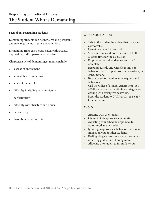## Responding to Emotional Distress **The Student Who is Demanding**

#### **Facts about Demanding Students**

Demanding students can be intrusive and persistent and may require much time and attention.

Demanding traits can be associated with anxiety, depression, and/or personality problems.

#### **Characteristics of demanding students include:**

- a sense of entitlement
- an inability to empathize
- a need for control
- difficulty in dealing with ambiguity
- perfectionism
- difficulty with structure and limits
- dependency
- fears about handling life

#### WHAT YOU CAN DO

- Talk to the student in a place that is safe and comfortable.
- Remain calm and in control.
- Set clear limits and hold the student to the allotted time for the discussion.
- Emphasize behaviors that are and aren't acceptable.
- Respond quickly and with clear limits to behavior that disrupts class, study sessions, or consultations.
- Be prepared for manipulative requests and behaviors.
- Call the Office of Student Affairs (401-454- 6600) for help with identifying strategies for dealing with disruptive behaviors.
- Refer the student to CAPS at 401-454-6637 for counseling.

- Arguing with the student.
- Giving in to inappropriate requests.
- Adjusting your schedule or policies to accommodate the student.
- Ignoring inappropriate behavior that has an impact on you or other students.
- Feeling obligated to take care of the student or feeling guilty for not doing more.
- Allowing the student to intimidate you.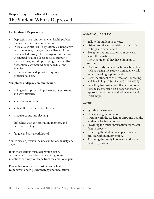#### **Facts about Depression:**

- Depression is a common mental health problem that varies in severity and duration.
- In its less serious form, depression is a temporary reaction to loss, stress, or life challenges. It can be alleviated through the passage of time and/or the natural healing effects of social supports, daily routines, and simple coping strategies like distraction, a structured daily schedule, and exercise.
- Severe or chronic depression requires professional help.

#### **Symptoms of depression can include:**

- feelings of emptiness, hopelessness, helplessness, and worthlessness
- a deep sense of sadness
- an inability to experience pleasure
- irregular eating and sleeping
- difficulties with concentration, memory, and decision-making
- fatigue and social withdrawal

Sometimes depression includes irritation, anxiety and anger.

In its most serious form, depression can be accompanied by self-destructive thoughts and intentions as a way to escape from the emotional pain.

Research shows that depression can be highly responsive to both psychotherapy and medication.

#### WHAT YOU CAN DO

- Talk to the student in private.
- Listen carefully and validate the student's feelings and experiences.
- Be supportive and express your concern about the situation.
- Ask the student if they have thoughts of suicide.
- Discuss clearly and concisely an action plan, such as having the student immediately call for a counseling appointment.
- Refer the student to the Office of Counseling and Psychological Services (401-454-6637).
- Be willing to consider or offer accommodations (e.g., extension on a paper or exam), if appropriate, as a way to alleviate stress and instill hope.

- Ignoring the student.
- Downplaying the situation.
- Arguing with the student or disputing that the student is feeling depressed.
- Providing too much information for the student to process.
- Expecting the student to stop feeling depressed without intervention.
- Assuming the family knows about the student's depression.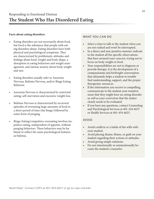#### **Facts about eating disorders:**

- Eating disorders are not necessarily about food, but food is the substance that people with eating disorders abuse. Eating disorders have both physical and psychological symptoms. They are characterized by problematic attitudes and feelings about food, weight and body shape, a disruption in eating behaviors and weight management, and intense anxiety about body weight and size.
- Eating disorders usually refer to Anorexia Nervosa, Bulimia Nervosa, and/or Binge Eating Behavior.
- Anorexia Nervosa is characterized by restricted eating, self-starvation and excessive weight loss.
- Bulimia Nervosa is characterized by recurrent episodes of overeating large amounts of food in a short period of time (the binge) followed by some form of purging.
- Binge-Eating/compulsive overeating involves impulsive eating, independent of appetite, without purging behaviors. These behaviors may be habitual or reflect the same psychological features as bulimia.

#### WHAT YOU CAN DO

- Select a time to talk to the student when you are not rushed and won't be interrupted.
- In a direct and non-punitive manner, indicate to the student all the specific observations that have aroused your concern, trying not to focus on body weight or food.
- Your responsibilities are not to diagnose or provide therapy; it is the development of a compassionate and forthright conversation that ultimately helps a student in trouble find understanding, support, and the proper therapeutic resources.
- If the information you receive is compelling, communicate to the student your tentative sense that they might have an eating disorder as well as your conviction that the matter clearly needs to be evaluated.
- If you have any questions, contact Counseling and Psychological Services at 401-454-6637 or Health Services at 401-454-6625.

- Avoid conflicts or a battle of the wills with your student.
- Avoid placing shame, blame, or guilt on your student regarding their actions or attitudes.
- Avoid giving simple solutions.
- Do not intentionally or unintentionally become the student's counselor.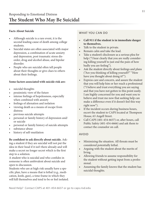#### **Facts About Suicide**

- Although suicide is a rare event, it is the second leading cause of death among college students.
- Suicidal states are often associated with major depression, a combination of acute anxiety and depression, post traumatic stress disorder, drug and alcohol abuse, and bipolar disorder.
- People who are suicidal often tell people about their thoughts or give clues to others about their feelings.

#### **Some factors associated with suicide risk are:**

- suicidal thoughts
- pessimistic view of the future
- intense feelings of hopelessness, especially when combined with anxiety
- feelings of alienation and isolation
- viewing death as a means of escape from distress
- previous suicide attempts
- personal or family history of depression and/ or suicide
- personal or family history of suicide attempts
- substance abuse
- history of self-mutilation

#### **Be confident to ask directly about suicide.** Asking a student if they are suicidal will not put the idea in their head if it isn't there already and will make a secret no longer secret which is the first step to a solution.

A student who is suicidal and who confides in someone is often ambivalent about suicide and open to discussion.

Students who are at high risk usually have a specific plan, have a means that is lethal (e.g., medication, knife, gun), a time frame in which they will kill themselves and tend to be or feel isolated.

#### WHAT YOU CAN DO

- **• Call 911 if the student is in immediate danger to themselves.**
- Talk to the student in private.
- Remain calm and take the lead.
- Take a student's disclosure as a serious plea for help ("I hear clearly that you are really considering killing yourself to just end the pain of how badly you are feeling").
- Ask the student directly about feelings and plans ("Are you thinking of killing yourself?" "How have you thought about doing it?").
- Express care and concern, and assure the student that you will help him or her reach a professional ("I believe and trust everything you are saying and that you have not gotten to this point easily. I am highly concerned for you and want you to believe and trust me now that seeking help can make a difference even if it doesn't feel this way right now").
- If the incident occurs during business hours, escort the student to CAPS located at Thompson House, 63 Angell Street.
- Call CAPS (401-454-6637) or, after hours, call Public Safety (401-454-6666) and ask them to contact the counselor on call.

- Minimizing the situation. All threats must be considered potentially lethal.
- Arguing with the student about the merits of living.
- Allowing friends to assume responsibility for the student without getting input from a professional.
- Assuming the family knows that the student has suicidal thoughts.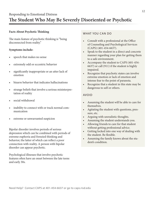## Responding to Emotional Distress **The Student Who May Be Severely Disoriented or Psychotic**

#### **Facts About Psychotic Thinking**

The main feature of psychotic thinking is "being disconnected from reality."

#### **Symptoms include:**

- speech that makes no sense
- extremely odd or eccentric behavior
- significantly inappropriate or an utter lack of emotion
- bizarre behavior that indicates hallucinations
- strange beliefs that involve a serious misinterpretation of reality
- social withdrawal
- inability to connect with or track normal communication
- extreme or unwarranted suspicion

Bipolar disorder involves periods of serious depression which can be combined with periods of extreme euphoria and frenzied thinking and behavior, the latter of which can reflect a poor connection with reality. A person with bipolar disorder can appear psychotic.

Psychological illnesses that involve psychotic features often have an onset between the late teens and early 30s.

#### WHAT YOU CAN DO

- Consult with a professional at the Office of Counseling and Psychological Services (CAPS) (401-454-6637).
- Speak to the student in a direct and concrete manner regarding your plan for getting them to a safe environment.
- Accompany the student to CAPS (401-454- 6637) or call (911) if the student is highly impaired.
- Recognize that psychotic states can involve extreme emotion or lack of emotion and intense fear to the point of paranoia.
- Recognize that a student in this state may be dangerous to self or others.

- Assuming the student will be able to care for themselves.
- Agitating the student with questions, pressure, etc.
- Arguing with unrealistic thoughts.
- Assuming the student understands you.
- Allowing friends to care for that student without getting professional advice.
- Getting locked into one way of dealing with the student. Be flexible.
- Assuming the family knows about the student's condition.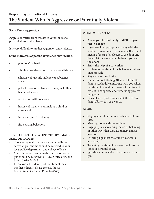#### **Facts About Aggression**

Aggression varies from threats to verbal abuse to physical abuse and violence.

It is very difficult to predict aggression and violence.

#### **Some indicators of potential violence may include:**

- paranoia/mistrust
- a highly unstable school or vocational history
- a history of juvenile violence or substance abuse
- prior history of violence or abuse, including history of arrests
- fascination with weapons
- history of cruelty to animals as a child or adolescent
- impulse control problems
- fire-starting behaviors

#### **IF A STUDENT THREATENS YOU BY EMAIL, MAIL OR PHONE:**

- Threatening mail, phone calls and emails received at your home should be referred to your local police department and college officials.
- Mail, phone calls and emails received on campus should be referred to RISD's Office of Public Safety (401-454-6666).
- If you know the identity of the student making these threats, please contact the Office of Student Affairs (401-454-6600).

#### WHAT YOU CAN DO

- Assess your level of safety. **Call 911 if you feel in danger.**
- If you feel it is appropriate to stay with the student, remain in an open area with a visible means of escape (sit closest to the door and do not let the student get between you and the door).
- Enlist the help of a co-worker.
- Explain to the student the behaviors that are unacceptable
- Stay calm and set limits
- Use a time-out strategy (that is, ask the student to reschedule a meeting with you when the student has calmed down) if the student refuses to cooperate and remains aggressive or agitated
- Consult with professionals at Office of Student Affairs (401-454-6600).

- Staying in a situation in which you feel unsafe.
- Meeting alone with the student.
- Engaging in a screaming match or behaving in other ways that escalate anxiety and aggression.
- Ignoring signs that the student's anger is escalating.
- Touching the student or crowding his or her sense of personal space.
- Ignoring a gut reaction that you are in danger.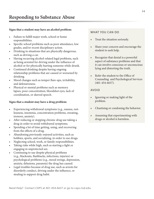#### **Signs that a student may have an alcohol problem:**

- Failure to fulfill major work, school or home responsibilities.
- Specific school problems such as poor attendance, low grades, and/or recent disciplinary action.
- Drinking in situations that are physically dangerous, such as driving a car.
- Having recurring alcohol-related legal problems, such as being arrested for driving under the influence of alcohol or for physically hurting someone while drunk.
- Continued drinking despite having ongoing relationship problems that are caused or worsened by drinking.
- Mood changes such as temper flare-ups, irritability, and defensiveness.
- Physical or mental problems such as memory lapses, poor concentration, bloodshot eyes, lack of coordination, or slurred speech.

#### **Signs that a student may have a drug problem:**

- Experiencing withdrawal symptoms (e.g., nausea, restlessness, insomnia, concentration problems, sweating, tremors, anxiety).
- After reducing or stopping chronic drug use taking a drug in order to avoid withdrawal symptoms.
- Spending a lot of time getting, using, and recovering from the effects of a drug.
- Abandoning previously-enjoyed activities, such as hobbies, sports, and socializing, in order to use drugs.
- Neglecting school, work, or family responsibilities.
- Taking risks while high, such as starting a fight or engaging in unprotected sex.
- Continuing to use despite physical problems (e.g., blackouts, flashbacks, infections, injuries) or psychological problems (e.g., mood swings, depression, anxiety, delusions, paranoia) the drug has caused.
- Legal troubles because of drug use, such as arrests for disorderly conduct, driving under the influence, or stealing to support drug habit.

#### WHAT YOU CAN DO

- Treat the situation seriously.
- Share your concern and encourage the student to seek help.
- Recognize that denial is a powerful aspect of substance problems and that it can involve conscious or unconscious lying and distorting the truth.
- Refer the student to the Office of Counseling and Psychological Services (401-454-6637).

- Ignoring or making light of the problem.
- Chastising or condoning the behavior.
- Assuming that experimenting with drugs or alcohol is harmless.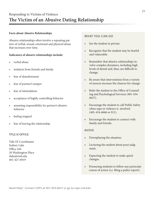## Responding to Victims of Violence **The Victim of an Abusive Dating Relationship**

#### **Facts about Abusive Relationships**

Abusive relationships often involve a repeating pattern of verbal, sexual, emotional and physical abuse that increases over time.

#### **Indicators of abusive relationships include:**

- verbal abuse
- isolation from friends and family
- fear of abandonment
- fear of partner's temper
- fear of intimidation
- acceptance of highly controlling behavior
- assuming responsibility for partner's abusive behavior
- feeling trapped
- fear of leaving the relationship

#### TITLE IX OFFICE:

Title IX Coordinator Sydney Lake Office 436 20 Washington Place slake@risd.edu 401-427-6919

#### WHAT YOU CAN DO

- See the student in private.
- Recognize that the student may be fearful and vulnerable.
- Remember that abusive relationships in volve complex dynamics, including high levels of denial and, thus, are difficult to change.
- Be aware that interventions from a variety of sources increase the chances for change.
- Refer the student to the Office of Counsel ing and Psychological Services (401-454- 6637).
- Encourage the student to call Public Safety when rape or violence is involved (401-454-6666 or 911).
- Encourage the student to connect with family and friends.

- Downplaying the situation.
- Lecturing the student about poor judg ment.
- Expecting the student to make quick changes.
- Pressuring students to follow any particular course of action (i.e. filing a police report).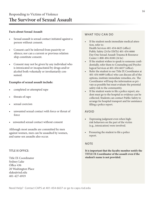#### **Facts about Sexual Assault**

- Sexual assault is sexual contact initiated against a person without consent.
- Consent can't be inferred from passivity or silence; nor can a current or previous relation ship constitute consent.
- Consent may not be given by any individual who is intoxicated or incapacitated by drugs and/or alcohol both voluntaily or involuntarily consumed.

#### **Examples of sexual assault include:**

- completed or attempted rape
- threats of rape
- sexual coercion
- unwanted sexual contact with force or threat of force
- unwanted sexual contact without consent

Although most assaults are committed by men against women, men can be assaulted by women, and same-sex assaults also occur.

#### TITLE IX OFFICE:

Title IX Coordinator Sydney Lake Office 436 20 Washington Place slake@risd.edu 401-427-6919

#### WHAT YOU CAN DO

- If the student needs immediate medical attention, refer to: Health Services 401-454-6625 (office) Public Safety (24 hr EMTs) 401-454-6666 Day One Sexual Assault Trauma & Resource Center 1-800-494-8100 (24 hr)
- If the student wishes to speak to someone confidentially, refer them to Counseling and Psychological Services at 401-454-6637 (office).
- Refer the student to our Title IX Coordinator at 401-454-6689 (office) who can discuss all of the options, institute immediate remedies, etc. The Coordinator will keep the information as private as possible but must evaluate the potential safety risk to the communtity.
- If the student wants to file a police report, student must go to the hospital so evidence can be collected. Students can contact Public Safety to arrange for hospital transport and for assistance filling a police report.

#### AVOID

- Expressing judgment even when high risk behaviors on the part of the victim (e.g., intoxication) were involved.
- Pressuring the student to file a police report.

#### **NOTE**

**It is important that the faculty member notify the TITLE IX Coordinator of the assault even if the student's name is not provided.**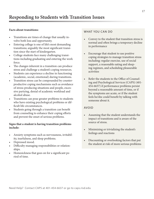#### **Facts about transitions:**

- Transitions are times of change that usually involve both loss and opportunity.
- Entering college is one of life's most demanding transitions; arguably the most significant transition since the start of kindergarten.
- College students face many challenging transitions including graduating and entering the work force.
- The changes inherent in a transition can produce stress and challenge a student's coping resources.
- Students can experience a decline in functioning (academic, social, emotional) during transitions.
- Transition stress can be compounded by counterproductive coping mechanisms such as avoidance of stress-producing situations and people, excessive partying, denial of academic workload and alcohol abuse.
- Transitions can pose greater problems to students who have existing psychological problems or difficult life circumstances.
- Students going through a transition can benefit from counseling to enhance their coping efforts and prevent the onset of serious problems.

#### **Signs that a student is having transition problems include:**

- Anxiety symptoms such as nervousness, irritability, tearfulness, and sleep problems.
- Depressed mood.
- Difficulty managing responsibilities or relationships.
- Homesickness that goes on for a significant period of time.

#### WHAT YOU CAN DO

- Convey to the student that transition stress is normal and often brings a temporary decline in performance
- Encourage that student to use positive coping strategies to manage transition stress including: regular exercise, use of social support, a reasonable eating and sleeping regimen, and scheduling pleasurable activities
- Refer the students to the Office of Counseling and Psychological Services (CAPS) (401- 454-6637) if performance problems persist beyond a reasonable amount of time, or if the symptoms are acute, or if the student feels he/she could benefit by talking with someone about it.

- Assuming that the student understands the impact of transitions and is aware of the source of stress.
- Minimizing or trivializing the student's feelings and reactions
- Discounting or overlooking factors that put the student at risk of more serious problems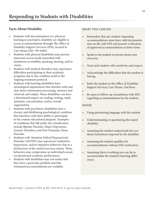#### **Facts About Disability**

- Students with documentation of a physical, learning or psychiatric disability are eligible to access accommodations through The Office of Disability Support Services (DSS), located in Carr House (401-709-8460).
- Students with physical disabilities may present classroom access needs associated with limitations in mobility, speaking, hearing, and/or vision.
- Students with medical disorders may experience difficulties participating in their academic programs due to the condition itself or the ongoing treatment protocol.
- Students with learning disabilities have neurological impairments that interfere with and slow down information processing, memory and retrieval, and output. These disabilities can have a detrimental impact on reading, writing, math, attention, concentration, and/or overall organization.
- Students with psychiatric disabilities have a chronic and debilitating psychological condition that interferes with their ability to participate in the routine educational program. Examples of conditions that fall under this classification include Bipolar Disorder, Major Depression, Anxiety Disorders, and Post Traumatic Stress Disorder.
- Students with Attention Deficit/Hyperactivity Disorder (AD/HD) may experience inattentive, hyperactive, and/or impulsive behaviors due to a dysfunction of the central nervous system. These behaviors may compromise an individual's social, vocational and academic performance.
- Students with disabilities may not realize that they have a particular problem and that treatment/accommodations are available.

#### WHAT YOU CAN DO

- Remember that any student requesting accommodations must have valid documenta tion on file with DSS and present verification of approved accommodations in letter-form.
- Speak to the student in private about your concerns.
- Treat each student with sensitivity and respect.
- Acknowledge the difficulties that the student is having.
- Refer the student to the Office of Disability Support Services, Carr House, 2nd floor.
	-

•

• Be open to follow-up consultation with DSS regarding accommodations for the student.

- Using patronizing language with the student.
- Underestimating or questioning the stated disability.
- Assuming the student understands the academic limitations imposed by the disability.
- Assuming the student qualifies for accommodations without DSS verification.
- Assuming there is nothing you can do to accommodate the student's learning differ ences.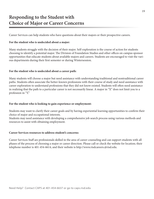## **Responding to the Student with Choice of Major or Career Concerns**

Career Services can help students who have questions about their majors or their prospective careers.

#### **For the student who is undecided about a major:**

Many students struggle with the decision of their major. Self-exploration is the course of action for students choosing to identify a potential major. The Division of Foundation Studies and other offices on campus sponsor opportunities that educate students about available majors and careers. Students are encouraged to visit the various departments during their first semester or during Wintersession.

#### **For the student who is undecided about a career path:**

Many students will choose a major but need assistance with understanding traditional and nontraditional career paths. Students often associate the better-known professions with their course of study and need assistance with career exploration to understand professions that they did not know existed. Students will often need assistance in realizing that the path to a particular career is not necessarily linear. A major in "X" does not limit you to a profession in "Y."

#### **For the student who is looking to gain experience or employment:**

Students may want to clarify their career goals and by having experiential learning opportunities to confirm their choice of major and occupational interests.

Students may need assistance with developing a comprehensive job search process using various methods and resources to assist with obtaining employment.

#### **Career Services resources to address student's concerns:**

Career Services Staff are professionals skilled in the area of career counseling and can support students with all phases of the process of choosing a major or career direction. Please call or check the website for location; their telephone number is 401-454-6614, and their website is http://www.risdcareers.@risd.edu.